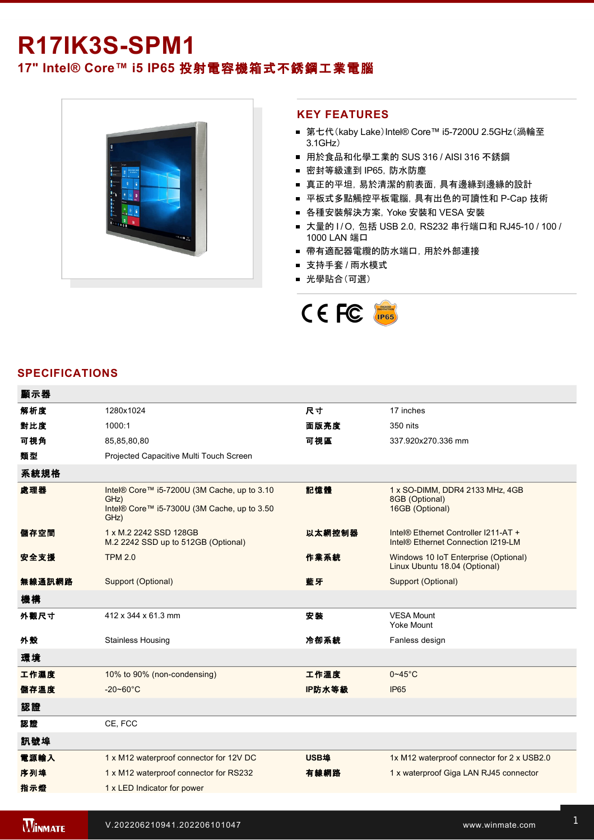# **R17IK3S-SPM1**

# **17" Intel® Core™ i5 IP65** 投射電容機箱式不銹鋼工業電腦



#### **KEY FEATURES**

- 第七代(kaby Lake)Intel® Core™ i5-7200U 2.5GHz(渦輪至 3.1GHz)
- 用於食品和化學工業的 SUS 316 / AISI 316 不銹鋼
- 密封等級達到 IP65, 防水防塵
- 真正的平坦, 易於清潔的前表面, 具有邊緣到邊緣的設計
- 平板式多點觸控平板電腦, 具有出色的可讀性和 P-Cap 技術
- 各種安裝解決方案, Yoke 安裝和 VESA 安裝
- 大量的 I/O, 包括 USB 2.0, RS232 串行端口和 RJ45-10 / 100 / 1000 LAN 端口
- 帶有適配器電纜的防水端口, 用於外部連接
- 支持手套 / 雨水模式
- 光學貼合(可選)



### **SPECIFICATIONS**

| 顯示器    |                                                                                                            |        |                                                                            |
|--------|------------------------------------------------------------------------------------------------------------|--------|----------------------------------------------------------------------------|
| 解析度    | 1280x1024                                                                                                  | 尺寸     | 17 inches                                                                  |
| 對比度    | 1000:1                                                                                                     | 面版亮度   | 350 nits                                                                   |
| 可視角    | 85,85,80,80                                                                                                | 可視區    | 337.920x270.336 mm                                                         |
| 類型     | Projected Capacitive Multi Touch Screen                                                                    |        |                                                                            |
| 系統規格   |                                                                                                            |        |                                                                            |
| 處理器    | Intel® Core™ i5-7200U (3M Cache, up to 3.10<br>GHz)<br>Intel® Core™ i5-7300U (3M Cache, up to 3.50<br>GHz) | 記憶體    | 1 x SO-DIMM, DDR4 2133 MHz, 4GB<br>8GB (Optional)<br>16GB (Optional)       |
| 儲存空間   | 1 x M.2 2242 SSD 128GB<br>M.2 2242 SSD up to 512GB (Optional)                                              | 以太網控制器 | Intel® Ethernet Controller I211-AT +<br>Intel® Ethernet Connection I219-LM |
| 安全支援   | <b>TPM 2.0</b>                                                                                             | 作業系統   | Windows 10 IoT Enterprise (Optional)<br>Linux Ubuntu 18.04 (Optional)      |
| 無線通訊網路 | Support (Optional)                                                                                         | 藍牙     | Support (Optional)                                                         |
| 機構     |                                                                                                            |        |                                                                            |
| 外觀尺寸   | 412 x 344 x 61.3 mm                                                                                        | 安装     | <b>VESA Mount</b><br>Yoke Mount                                            |
| 外殼     | <b>Stainless Housing</b>                                                                                   | 冷卻系統   | Fanless design                                                             |
| 環境     |                                                                                                            |        |                                                                            |
| 工作濕度   | 10% to 90% (non-condensing)                                                                                | 工作溫度   | $0 - 45$ °C                                                                |
| 儲存溫度   | $-20 - 60^{\circ}C$                                                                                        | IP防水等級 | <b>IP65</b>                                                                |
| 認證     |                                                                                                            |        |                                                                            |
| 認證     | CE, FCC                                                                                                    |        |                                                                            |
| 訊號埠    |                                                                                                            |        |                                                                            |
| 電源輸入   | 1 x M12 waterproof connector for 12V DC                                                                    | USB埠   | 1x M12 waterproof connector for 2 x USB2.0                                 |
| 序列埠    | 1 x M12 waterproof connector for RS232                                                                     | 有線網路   | 1 x waterproof Giga LAN RJ45 connector                                     |
| 指示燈    | 1 x LED Indicator for power                                                                                |        |                                                                            |
|        |                                                                                                            |        |                                                                            |

控制

1 x Reset Button and the Company of the Company of the Company of the Company of